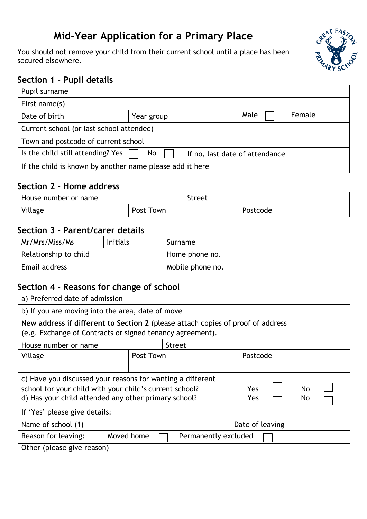# **Mid-Year Application for a Primary Place**

You should not remove your child from their current school until a place has been secured elsewhere.



### **Section 1 – Pupil details**

| Pupil surname                                                             |            |      |        |  |
|---------------------------------------------------------------------------|------------|------|--------|--|
| First name(s)                                                             |            |      |        |  |
| Date of birth                                                             | Year group | Male | Female |  |
| Current school (or last school attended)                                  |            |      |        |  |
| Town and postcode of current school                                       |            |      |        |  |
| Is the child still attending? Yes<br>No<br>If no, last date of attendance |            |      |        |  |
| If the child is known by another name please add it here                  |            |      |        |  |

#### **Section 2 – Home address**

| House number or name |           | <b>Street</b> |          |
|----------------------|-----------|---------------|----------|
| Village              | Post Town |               | Postcode |

### **Section 3 – Parent/carer details**

| Mr/Mrs/Miss/Ms        | <b>Initials</b> | Surname          |  |
|-----------------------|-----------------|------------------|--|
| Relationship to child |                 | Home phone no.   |  |
| Email address         |                 | Mobile phone no. |  |

#### **Section 4 – Reasons for change of school**

| a) Preferred date of admission                                                                                                                                                                           |                       |               |                 |  |  |
|----------------------------------------------------------------------------------------------------------------------------------------------------------------------------------------------------------|-----------------------|---------------|-----------------|--|--|
| b) If you are moving into the area, date of move                                                                                                                                                         |                       |               |                 |  |  |
| New address if different to Section 2 (please attach copies of proof of address<br>(e.g. Exchange of Contracts or signed tenancy agreement).                                                             |                       |               |                 |  |  |
| House number or name                                                                                                                                                                                     |                       | <b>Street</b> |                 |  |  |
| Village                                                                                                                                                                                                  | Postcode<br>Post Town |               |                 |  |  |
|                                                                                                                                                                                                          |                       |               |                 |  |  |
| c) Have you discussed your reasons for wanting a different<br>school for your child with your child's current school?<br>No<br>Yes<br>d) Has your child attended any other primary school?<br>Yes<br>No. |                       |               |                 |  |  |
| If 'Yes' please give details:                                                                                                                                                                            |                       |               |                 |  |  |
| Name of school (1)                                                                                                                                                                                       |                       |               | Date of leaving |  |  |
| Moved home<br>Permanently excluded<br>Reason for leaving:                                                                                                                                                |                       |               |                 |  |  |
| Other (please give reason)                                                                                                                                                                               |                       |               |                 |  |  |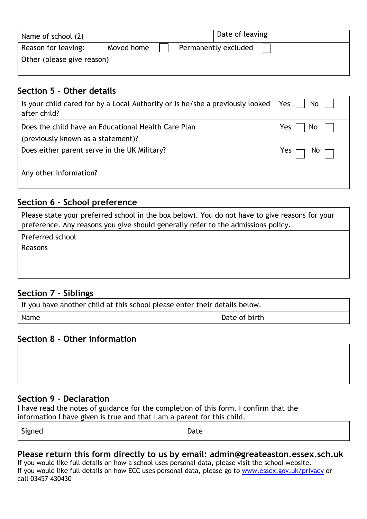| Name of school (2)         |                                    |  | Date of leaving |
|----------------------------|------------------------------------|--|-----------------|
| Reason for leaving:        | Permanently excluded<br>Moved home |  |                 |
| Other (please give reason) |                                    |  |                 |

#### **Section 5 – Other details**

| Is your child cared for by a Local Authority or is he/she a previously looked Yes $\vert \vert$<br>after child? | $No$ $ $           |
|-----------------------------------------------------------------------------------------------------------------|--------------------|
| Does the child have an Educational Health Care Plan                                                             | Yes l<br>No.       |
| (previously known as a statement)?                                                                              |                    |
| Does either parent serve in the UK Military?                                                                    | No<br>Yes $\Gamma$ |
| Any other information?                                                                                          |                    |

#### **Section 6 – School preference**

| Please state your preferred school in the box below). You do not have to give reasons for your<br>preference. Any reasons you give should generally refer to the admissions policy. |
|-------------------------------------------------------------------------------------------------------------------------------------------------------------------------------------|
| Preferred school                                                                                                                                                                    |
| Reasons                                                                                                                                                                             |
|                                                                                                                                                                                     |
|                                                                                                                                                                                     |

### **Section 7 – Siblings**

| If you have another child at this school please enter their details below. |               |  |  |
|----------------------------------------------------------------------------|---------------|--|--|
| Name                                                                       | Date of birth |  |  |

#### **Section 8 – Other information**

#### **Section 9 – Declaration**

I have read the notes of guidance for the completion of this form. I confirm that the information I have given is true and that I am a parent for this child.

| . .<br>$ -$<br>$  -$ |
|----------------------|
|----------------------|

#### **Please return this form directly to us by email: admin@greateaston.essex.sch.uk**

If you would like full details on how a school uses personal data, please visit the school website. If you would like full details on how ECC uses personal data, please go to [www.essex.gov.uk/privacy](http://www.essex.gov.uk/privacy) or call 03457 430430